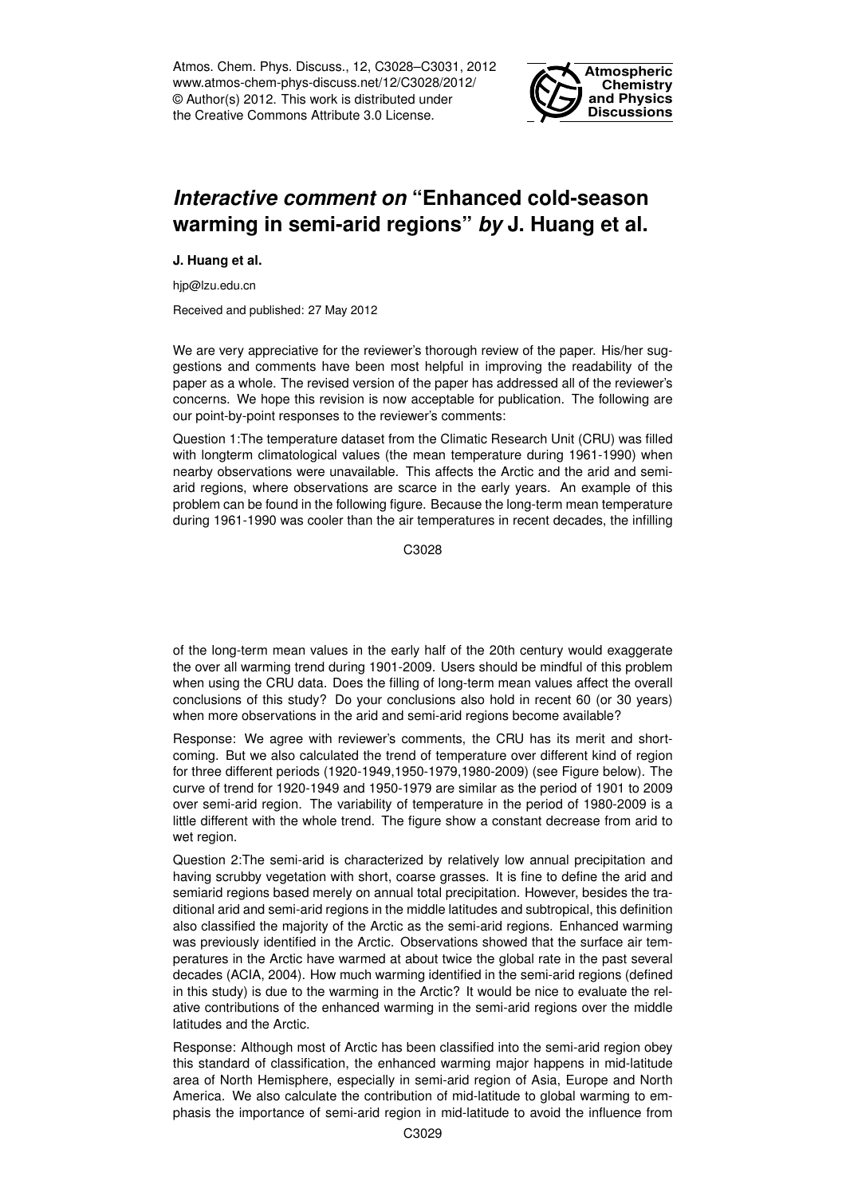Atmos. Chem. Phys. Discuss., 12, C3028–C3031, 2012 www.atmos-chem-phys-discuss.net/12/C3028/2012/ © Author(s) 2012. This work is distributed under the Creative Commons Attribute 3.0 License.



## *Interactive comment on* **"Enhanced cold-season warming in semi-arid regions"** *by* **J. Huang et al.**

**J. Huang et al.**

hjp@lzu.edu.cn

Received and published: 27 May 2012

We are very appreciative for the reviewer's thorough review of the paper. His/her suggestions and comments have been most helpful in improving the readability of the paper as a whole. The revised version of the paper has addressed all of the reviewer's concerns. We hope this revision is now acceptable for publication. The following are our point-by-point responses to the reviewer's comments:

Question 1:The temperature dataset from the Climatic Research Unit (CRU) was filled with longterm climatological values (the mean temperature during 1961-1990) when nearby observations were unavailable. This affects the Arctic and the arid and semiarid regions, where observations are scarce in the early years. An example of this problem can be found in the following figure. Because the long-term mean temperature during 1961-1990 was cooler than the air temperatures in recent decades, the infilling

C<sub>3028</sub>

of the long-term mean values in the early half of the 20th century would exaggerate the over all warming trend during 1901-2009. Users should be mindful of this problem when using the CRU data. Does the filling of long-term mean values affect the overall conclusions of this study? Do your conclusions also hold in recent 60 (or 30 years) when more observations in the arid and semi-arid regions become available?

Response: We agree with reviewer's comments, the CRU has its merit and shortcoming. But we also calculated the trend of temperature over different kind of region for three different periods (1920-1949,1950-1979,1980-2009) (see Figure below). The curve of trend for 1920-1949 and 1950-1979 are similar as the period of 1901 to 2009 over semi-arid region. The variability of temperature in the period of 1980-2009 is a little different with the whole trend. The figure show a constant decrease from arid to wet region.

Question 2:The semi-arid is characterized by relatively low annual precipitation and having scrubby vegetation with short, coarse grasses. It is fine to define the arid and semiarid regions based merely on annual total precipitation. However, besides the traditional arid and semi-arid regions in the middle latitudes and subtropical, this definition also classified the majority of the Arctic as the semi-arid regions. Enhanced warming was previously identified in the Arctic. Observations showed that the surface air temperatures in the Arctic have warmed at about twice the global rate in the past several decades (ACIA, 2004). How much warming identified in the semi-arid regions (defined in this study) is due to the warming in the Arctic? It would be nice to evaluate the relative contributions of the enhanced warming in the semi-arid regions over the middle latitudes and the Arctic.

Response: Although most of Arctic has been classified into the semi-arid region obey this standard of classification, the enhanced warming major happens in mid-latitude area of North Hemisphere, especially in semi-arid region of Asia, Europe and North America. We also calculate the contribution of mid-latitude to global warming to emphasis the importance of semi-arid region in mid-latitude to avoid the influence from